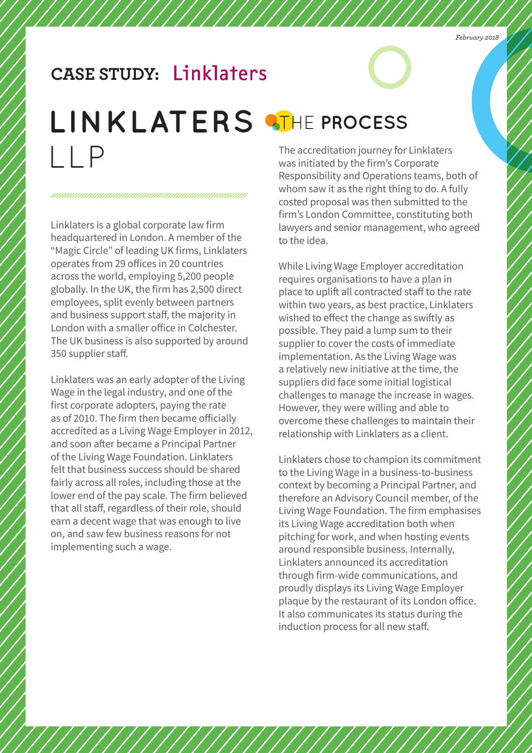## **CASE STUDY:**

# LINKLATERS **ATHE PROCESS**  $|$ | P

///////

Linklaters is a global corporate law firm headquartered in London. A member of the "Magic Circle" of leading UK firms, Linklaters operates from 29 offices in 20 countries across the world, employing 5,200 people globally. In the UK, the firm has 2,500 direct employees, split evenly between partners and business support staff, the majority in London with a smaller office in Colchester. The UK business is also supported by around 350 supplier staff.

Linklaters was an early adopter of the Living Wage in the legal industry, and one of the first corporate adopters, paying the rate as of 2010. The firm then became officially accredited as a Living Wage Employer in 2012, and soon after became a Principal Partner of the Living Wage Foundation. Linklaters felt that business success should be shared fairly across all roles, including those at the lower end of the pay scale. The firm believed that all staff, regardless of their role, should earn a decent wage that was enough to live on, and saw few business reasons for not implementing such a wage.

The accreditation journey for Linklaters was initiated by the firm's Corporate Responsibility and Operations teams, both of whom saw it as the right thing to do. A fully costed proposal was then submitted to the firm's London Committee, constituting both lawyers and senior management, who agreed to the idea.

While Living Wage Employer accreditation requires organisations to have a plan in place to uplift all contracted staff to the rate within two years, as best practice, Linklaters wished to effect the change as swiftly as possible. They paid a lump sum to their supplier to cover the costs of immediate implementation. As the Living Wage was a relatively new initiative at the time, the suppliers did face some initial logistical challenges to manage the increase in wages. However, they were willing and able to overcome these challenges to maintain their relationship with Linklaters as a client.

Linklaters chose to champion its commitment to the Living Wage in a business-to-business context by becoming a Principal Partner, and therefore an Advisory Council member, of the Living Wage Foundation. The firm emphasises its Living Wage accreditation both when pitching for work, and when hosting events around responsible business. Internally, Linklaters announced its accreditation through firm-wide communications, and proudly displays its Living Wage Employer plaque by the restaurant of its London office. It also communicates its status during the induction process for all new staff.